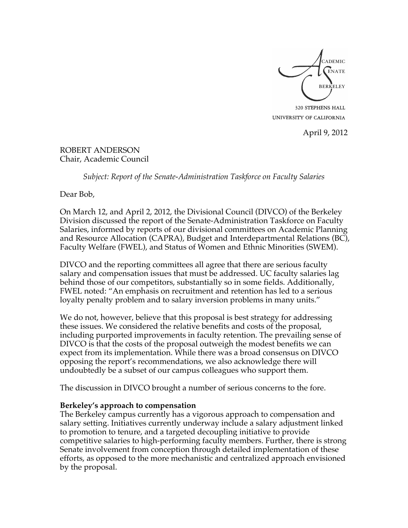

320 STEPHENS HALL UNIVERSITY OF CALIFORNIA

April 9, 2012

ROBERT ANDERSON Chair, Academic Council

*Subject: Report of the Senate-Administration Taskforce on Faculty Salaries*

Dear Bob,

On March 12, and April 2, 2012, the Divisional Council (DIVCO) of the Berkeley Division discussed the report of the Senate-Administration Taskforce on Faculty Salaries, informed by reports of our divisional committees on Academic Planning and Resource Allocation (CAPRA), Budget and Interdepartmental Relations (BC), Faculty Welfare (FWEL), and Status of Women and Ethnic Minorities (SWEM).

DIVCO and the reporting committees all agree that there are serious faculty salary and compensation issues that must be addressed. UC faculty salaries lag behind those of our competitors, substantially so in some fields. Additionally, FWEL noted: "An emphasis on recruitment and retention has led to a serious loyalty penalty problem and to salary inversion problems in many units."

We do not, however, believe that this proposal is best strategy for addressing these issues. We considered the relative benefits and costs of the proposal, including purported improvements in faculty retention. The prevailing sense of DIVCO is that the costs of the proposal outweigh the modest benefits we can expect from its implementation. While there was a broad consensus on DIVCO opposing the report's recommendations, we also acknowledge there will undoubtedly be a subset of our campus colleagues who support them.

The discussion in DIVCO brought a number of serious concerns to the fore.

### **Berkeley's approach to compensation**

The Berkeley campus currently has a vigorous approach to compensation and salary setting. Initiatives currently underway include a salary adjustment linked to promotion to tenure, and a targeted decoupling initiative to provide competitive salaries to high-performing faculty members. Further, there is strong Senate involvement from conception through detailed implementation of these efforts, as opposed to the more mechanistic and centralized approach envisioned by the proposal.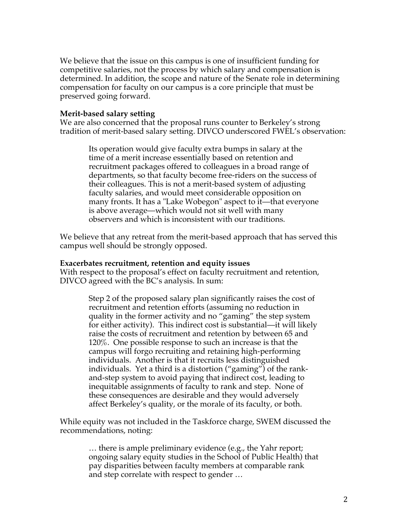We believe that the issue on this campus is one of insufficient funding for competitive salaries, not the process by which salary and compensation is determined. In addition, the scope and nature of the Senate role in determining compensation for faculty on our campus is a core principle that must be preserved going forward.

### **Merit-based salary setting**

We are also concerned that the proposal runs counter to Berkeley's strong tradition of merit-based salary setting. DIVCO underscored FWEL's observation:

Its operation would give faculty extra bumps in salary at the time of a merit increase essentially based on retention and recruitment packages offered to colleagues in a broad range of departments, so that faculty become free-riders on the success of their colleagues. This is not a merit-based system of adjusting faculty salaries, and would meet considerable opposition on many fronts. It has a "Lake Wobegon" aspect to it—that everyone is above average—which would not sit well with many observers and which is inconsistent with our traditions.

We believe that any retreat from the merit-based approach that has served this campus well should be strongly opposed.

#### **Exacerbates recruitment, retention and equity issues**

With respect to the proposal's effect on faculty recruitment and retention, DIVCO agreed with the BC's analysis. In sum:

> Step 2 of the proposed salary plan significantly raises the cost of recruitment and retention efforts (assuming no reduction in quality in the former activity and no "gaming" the step system for either activity). This indirect cost is substantial—it will likely raise the costs of recruitment and retention by between 65 and 120%. One possible response to such an increase is that the campus will forgo recruiting and retaining high-performing individuals. Another is that it recruits less distinguished individuals. Yet a third is a distortion ("gaming") of the rankand-step system to avoid paying that indirect cost, leading to inequitable assignments of faculty to rank and step. None of these consequences are desirable and they would adversely affect Berkeley's quality, or the morale of its faculty, or both.

While equity was not included in the Taskforce charge, SWEM discussed the recommendations, noting:

> … there is ample preliminary evidence (e.g., the Yahr report; ongoing salary equity studies in the School of Public Health) that pay disparities between faculty members at comparable rank and step correlate with respect to gender …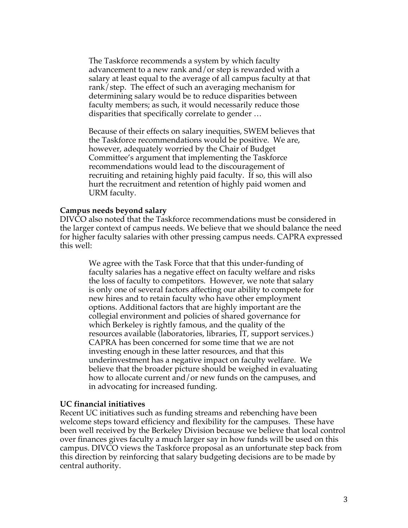The Taskforce recommends a system by which faculty advancement to a new rank and/or step is rewarded with a salary at least equal to the average of all campus faculty at that rank/step. The effect of such an averaging mechanism for determining salary would be to reduce disparities between faculty members; as such, it would necessarily reduce those disparities that specifically correlate to gender …

Because of their effects on salary inequities, SWEM believes that the Taskforce recommendations would be positive. We are, however, adequately worried by the Chair of Budget Committee's argument that implementing the Taskforce recommendations would lead to the discouragement of recruiting and retaining highly paid faculty. If so, this will also hurt the recruitment and retention of highly paid women and URM faculty.

#### **Campus needs beyond salary**

DIVCO also noted that the Taskforce recommendations must be considered in the larger context of campus needs. We believe that we should balance the need for higher faculty salaries with other pressing campus needs. CAPRA expressed this well:

> We agree with the Task Force that that this under-funding of faculty salaries has a negative effect on faculty welfare and risks the loss of faculty to competitors. However, we note that salary is only one of several factors affecting our ability to compete for new hires and to retain faculty who have other employment options. Additional factors that are highly important are the collegial environment and policies of shared governance for which Berkeley is rightly famous, and the quality of the resources available (laboratories, libraries, IT, support services.) CAPRA has been concerned for some time that we are not investing enough in these latter resources, and that this underinvestment has a negative impact on faculty welfare. We believe that the broader picture should be weighed in evaluating how to allocate current and/or new funds on the campuses, and in advocating for increased funding.

#### **UC financial initiatives**

Recent UC initiatives such as funding streams and rebenching have been welcome steps toward efficiency and flexibility for the campuses. These have been well received by the Berkeley Division because we believe that local control over finances gives faculty a much larger say in how funds will be used on this campus. DIVCO views the Taskforce proposal as an unfortunate step back from this direction by reinforcing that salary budgeting decisions are to be made by central authority.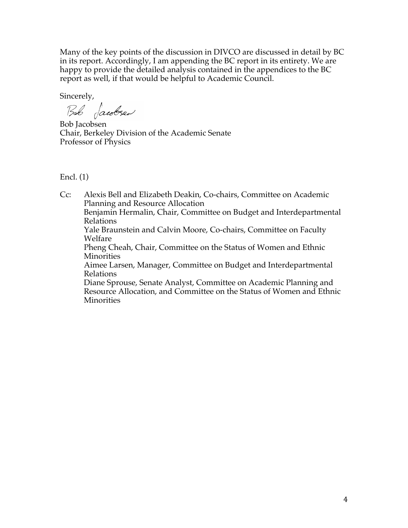Many of the key points of the discussion in DIVCO are discussed in detail by BC in its report. Accordingly, I am appending the BC report in its entirety. We are happy to provide the detailed analysis contained in the appendices to the BC report as well, if that would be helpful to Academic Council.

Sincerely,

Bob Jacobsen

Bob Jacobsen Chair, Berkeley Division of the Academic Senate Professor of Physics

Encl. (1)

Cc: Alexis Bell and Elizabeth Deakin, Co-chairs, Committee on Academic Planning and Resource Allocation Benjamin Hermalin, Chair, Committee on Budget and Interdepartmental Relations Yale Braunstein and Calvin Moore, Co-chairs, Committee on Faculty Welfare Pheng Cheah, Chair, Committee on the Status of Women and Ethnic Minorities Aimee Larsen, Manager, Committee on Budget and Interdepartmental Relations Diane Sprouse, Senate Analyst, Committee on Academic Planning and Resource Allocation, and Committee on the Status of Women and Ethnic **Minorities**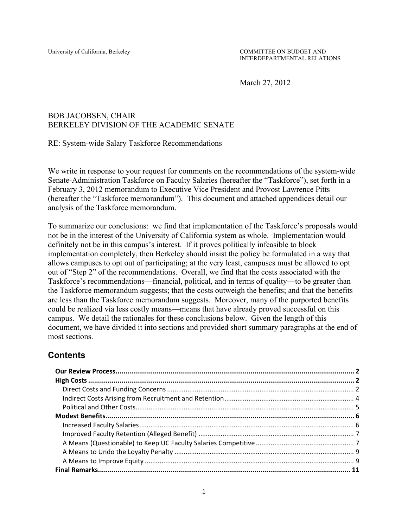March 27, 2012

### BOB JACOBSEN, CHAIR BERKELEY DIVISION OF THE ACADEMIC SENATE

RE: System-wide Salary Taskforce Recommendations

We write in response to your request for comments on the recommendations of the system-wide Senate-Administration Taskforce on Faculty Salaries (hereafter the "Taskforce"), set forth in a February 3, 2012 memorandum to Executive Vice President and Provost Lawrence Pitts (hereafter the "Taskforce memorandum"). This document and attached appendices detail our analysis of the Taskforce memorandum.

To summarize our conclusions: we find that implementation of the Taskforce's proposals would not be in the interest of the University of California system as whole. Implementation would definitely not be in this campus's interest. If it proves politically infeasible to block implementation completely, then Berkeley should insist the policy be formulated in a way that allows campuses to opt out of participating; at the very least, campuses must be allowed to opt out of "Step 2" of the recommendations. Overall, we find that the costs associated with the Taskforce's recommendations—financial, political, and in terms of quality—to be greater than the Taskforce memorandum suggests; that the costs outweigh the benefits; and that the benefits are less than the Taskforce memorandum suggests. Moreover, many of the purported benefits could be realized via less costly means—means that have already proved successful on this campus. We detail the rationales for these conclusions below. Given the length of this document, we have divided it into sections and provided short summary paragraphs at the end of most sections.

## **Contents**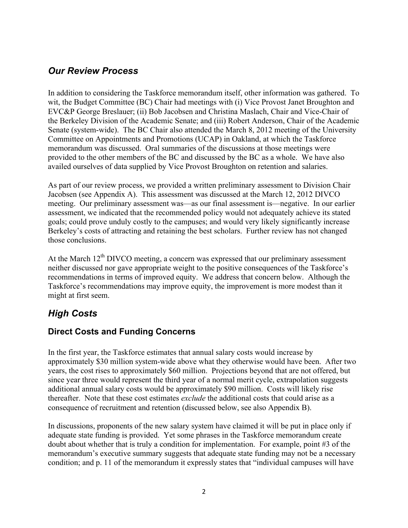# *Our Review Process*

In addition to considering the Taskforce memorandum itself, other information was gathered. To wit, the Budget Committee (BC) Chair had meetings with (i) Vice Provost Janet Broughton and EVC&P George Breslauer; (ii) Bob Jacobsen and Christina Maslach, Chair and Vice-Chair of the Berkeley Division of the Academic Senate; and (iii) Robert Anderson, Chair of the Academic Senate (system-wide). The BC Chair also attended the March 8, 2012 meeting of the University Committee on Appointments and Promotions (UCAP) in Oakland, at which the Taskforce memorandum was discussed. Oral summaries of the discussions at those meetings were provided to the other members of the BC and discussed by the BC as a whole. We have also availed ourselves of data supplied by Vice Provost Broughton on retention and salaries.

As part of our review process, we provided a written preliminary assessment to Division Chair Jacobsen (see Appendix A). This assessment was discussed at the March 12, 2012 DIVCO meeting. Our preliminary assessment was—as our final assessment is—negative. In our earlier assessment, we indicated that the recommended policy would not adequately achieve its stated goals; could prove unduly costly to the campuses; and would very likely significantly increase Berkeley's costs of attracting and retaining the best scholars. Further review has not changed those conclusions.

At the March  $12<sup>th</sup>$  DIVCO meeting, a concern was expressed that our preliminary assessment neither discussed nor gave appropriate weight to the positive consequences of the Taskforce's recommendations in terms of improved equity. We address that concern below. Although the Taskforce's recommendations may improve equity, the improvement is more modest than it might at first seem.

# *High Costs*

## **Direct Costs and Funding Concerns**

In the first year, the Taskforce estimates that annual salary costs would increase by approximately \$30 million system-wide above what they otherwise would have been. After two years, the cost rises to approximately \$60 million. Projections beyond that are not offered, but since year three would represent the third year of a normal merit cycle, extrapolation suggests additional annual salary costs would be approximately \$90 million. Costs will likely rise thereafter. Note that these cost estimates *exclude* the additional costs that could arise as a consequence of recruitment and retention (discussed below, see also Appendix B).

In discussions, proponents of the new salary system have claimed it will be put in place only if adequate state funding is provided. Yet some phrases in the Taskforce memorandum create doubt about whether that is truly a condition for implementation. For example, point #3 of the memorandum's executive summary suggests that adequate state funding may not be a necessary condition; and p. 11 of the memorandum it expressly states that "individual campuses will have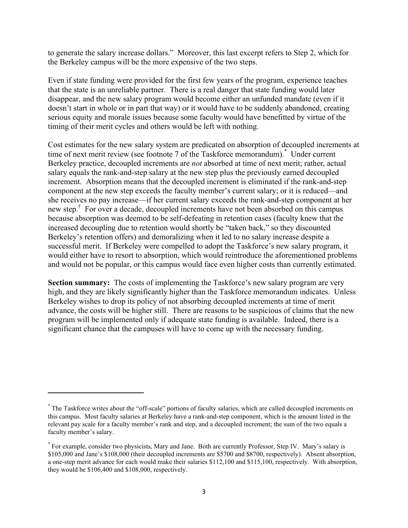to generate the salary increase dollars." Moreover, this last excerpt refers to Step 2, which for the Berkeley campus will be the more expensive of the two steps.

Even if state funding were provided for the first few years of the program, experience teaches that the state is an unreliable partner. There is a real danger that state funding would later disappear, and the new salary program would become either an unfunded mandate (even if it doesn't start in whole or in part that way) or it would have to be suddenly abandoned, creating serious equity and morale issues because some faculty would have benefitted by virtue of the timing of their merit cycles and others would be left with nothing.

Cost estimates for the new salary system are predicated on absorption of decoupled increments at time of next merit review (see footnote 7 of the Taskforce memorandum).\* Under current Berkeley practice, decoupled increments are *not* absorbed at time of next merit; rather, actual salary equals the rank-and-step salary at the new step plus the previously earned decoupled increment. Absorption means that the decoupled increment is eliminated if the rank-and-step component at the new step exceeds the faculty member's current salary; or it is reduced—and she receives no pay increase—if her current salary exceeds the rank-and-step component at her new step. † For over a decade, decoupled increments have not been absorbed on this campus because absorption was deemed to be self-defeating in retention cases (faculty knew that the increased decoupling due to retention would shortly be "taken back," so they discounted Berkeley's retention offers) and demoralizing when it led to no salary increase despite a successful merit. If Berkeley were compelled to adopt the Taskforce's new salary program, it would either have to resort to absorption, which would reintroduce the aforementioned problems and would not be popular, or this campus would face even higher costs than currently estimated.

**Section summary:** The costs of implementing the Taskforce's new salary program are very high, and they are likely significantly higher than the Taskforce memorandum indicates. Unless Berkeley wishes to drop its policy of not absorbing decoupled increments at time of merit advance, the costs will be higher still. There are reasons to be suspicious of claims that the new program will be implemented only if adequate state funding is available. Indeed, there is a significant chance that the campuses will have to come up with the necessary funding.

"""""""""""""""""""""""""""""""""""""""""""""""""""""""""""

<sup>&</sup>lt;sup>\*</sup>The Taskforce writes about the "off-scale" portions of faculty salaries, which are called decoupled increments on this campus. Most faculty salaries at Berkeley have a rank-and-step component, which is the amount listed in the relevant pay scale for a faculty member's rank and step, and a decoupled increment; the sum of the two equals a faculty member's salary.

<sup>&</sup>lt;sup>†</sup> For example, consider two physicists, Mary and Jane. Both are currently Professor, Step IV. Mary's salary is \$105,000 and Jane's \$108,000 (their decoupled increments are \$5700 and \$8700, respectively). Absent absorption, a one-step merit advance for each would make their salaries \$112,100 and \$115,100, respectively. With absorption, they would be \$106,400 and \$108,000, respectively.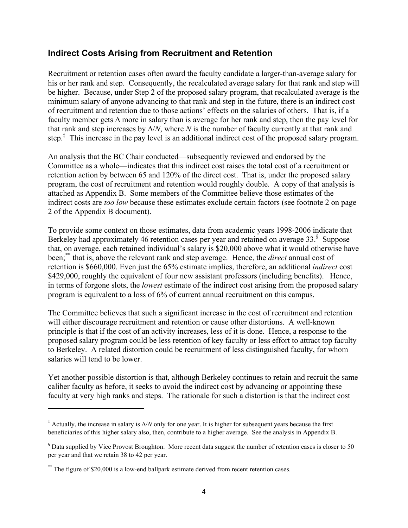### **Indirect Costs Arising from Recruitment and Retention**

Recruitment or retention cases often award the faculty candidate a larger-than-average salary for his or her rank and step. Consequently, the recalculated average salary for that rank and step will be higher. Because, under Step 2 of the proposed salary program, that recalculated average is the minimum salary of anyone advancing to that rank and step in the future, there is an indirect cost of recruitment and retention due to those actions' effects on the salaries of others. That is, if a faculty member gets  $\Delta$  more in salary than is average for her rank and step, then the pay level for that rank and step increases by  $\Delta/N$ , where *N* is the number of faculty currently at that rank and step.<sup>‡</sup> This increase in the pay level is an additional indirect cost of the proposed salary program.

An analysis that the BC Chair conducted—subsequently reviewed and endorsed by the Committee as a whole—indicates that this indirect cost raises the total cost of a recruitment or retention action by between 65 and 120% of the direct cost. That is, under the proposed salary program, the cost of recruitment and retention would roughly double. A copy of that analysis is attached as Appendix B. Some members of the Committee believe those estimates of the indirect costs are *too low* because these estimates exclude certain factors (see footnote 2 on page 2 of the Appendix B document).

To provide some context on those estimates, data from academic years 1998-2006 indicate that Berkeley had approximately 46 retention cases per year and retained on average 33.<sup>§</sup> Suppose that, on average, each retained individual's salary is \$20,000 above what it would otherwise have been;\*\* that is, above the relevant rank and step average. Hence, the *direct* annual cost of retention is \$660,000. Even just the 65% estimate implies, therefore, an additional *indirect* cost \$429,000, roughly the equivalent of four new assistant professors (including benefits). Hence, in terms of forgone slots, the *lowest* estimate of the indirect cost arising from the proposed salary program is equivalent to a loss of 6% of current annual recruitment on this campus.

The Committee believes that such a significant increase in the cost of recruitment and retention will either discourage recruitment and retention or cause other distortions. A well-known principle is that if the cost of an activity increases, less of it is done. Hence, a response to the proposed salary program could be less retention of key faculty or less effort to attract top faculty to Berkeley. A related distortion could be recruitment of less distinguished faculty, for whom salaries will tend to be lower.

Yet another possible distortion is that, although Berkeley continues to retain and recruit the same caliber faculty as before, it seeks to avoid the indirect cost by advancing or appointing these faculty at very high ranks and steps. The rationale for such a distortion is that the indirect cost

"""""""""""""""""""""""""""""""""""""""""""""""""""""""""""

 $*$  Actually, the increase in salary is  $\Delta/N$  only for one year. It is higher for subsequent years because the first beneficiaries of this higher salary also, then, contribute to a higher average. See the analysis in Appendix B.

 $\delta$  Data supplied by Vice Provost Broughton. More recent data suggest the number of retention cases is closer to 50 per year and that we retain 38 to 42 per year.

 $*$  The figure of \$20,000 is a low-end ballpark estimate derived from recent retention cases.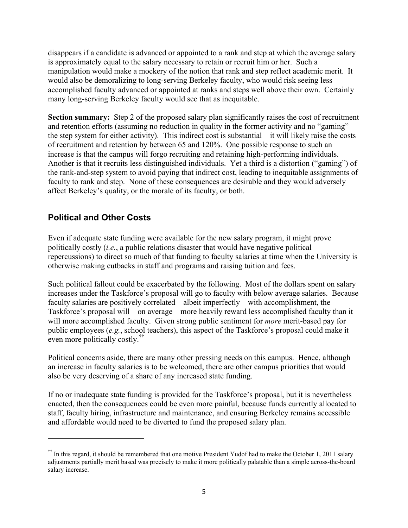disappears if a candidate is advanced or appointed to a rank and step at which the average salary is approximately equal to the salary necessary to retain or recruit him or her. Such a manipulation would make a mockery of the notion that rank and step reflect academic merit. It would also be demoralizing to long-serving Berkeley faculty, who would risk seeing less accomplished faculty advanced or appointed at ranks and steps well above their own. Certainly many long-serving Berkeley faculty would see that as inequitable.

**Section summary:** Step 2 of the proposed salary plan significantly raises the cost of recruitment and retention efforts (assuming no reduction in quality in the former activity and no "gaming" the step system for either activity). This indirect cost is substantial—it will likely raise the costs of recruitment and retention by between 65 and 120%. One possible response to such an increase is that the campus will forgo recruiting and retaining high-performing individuals. Another is that it recruits less distinguished individuals. Yet a third is a distortion ("gaming") of the rank-and-step system to avoid paying that indirect cost, leading to inequitable assignments of faculty to rank and step. None of these consequences are desirable and they would adversely affect Berkeley's quality, or the morale of its faculty, or both.

# **Political and Other Costs**

"""""""""""""""""""""""""""""""""""""""""""""""""""""""""""

Even if adequate state funding were available for the new salary program, it might prove politically costly (*i.e.*, a public relations disaster that would have negative political repercussions) to direct so much of that funding to faculty salaries at time when the University is otherwise making cutbacks in staff and programs and raising tuition and fees.

Such political fallout could be exacerbated by the following. Most of the dollars spent on salary increases under the Taskforce's proposal will go to faculty with below average salaries. Because faculty salaries are positively correlated—albeit imperfectly—with accomplishment, the Taskforce's proposal will—on average—more heavily reward less accomplished faculty than it will more accomplished faculty. Given strong public sentiment for *more* merit-based pay for public employees (*e.g.*, school teachers), this aspect of the Taskforce's proposal could make it even more politically costly.††

Political concerns aside, there are many other pressing needs on this campus. Hence, although an increase in faculty salaries is to be welcomed, there are other campus priorities that would also be very deserving of a share of any increased state funding.

If no or inadequate state funding is provided for the Taskforce's proposal, but it is nevertheless enacted, then the consequences could be even more painful, because funds currently allocated to staff, faculty hiring, infrastructure and maintenance, and ensuring Berkeley remains accessible and affordable would need to be diverted to fund the proposed salary plan.

 $\overline{S}$  In this regard, it should be remembered that one motive President Yudof had to make the October 1, 2011 salary adjustments partially merit based was precisely to make it more politically palatable than a simple across-the-board salary increase.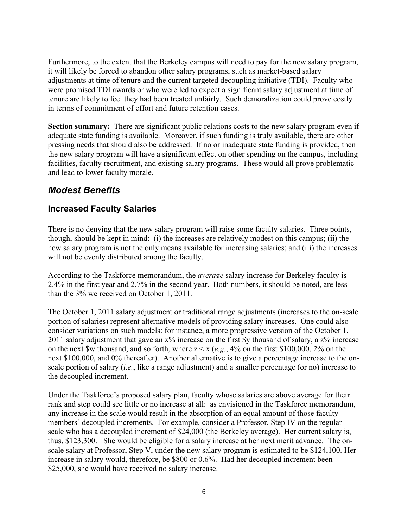Furthermore, to the extent that the Berkeley campus will need to pay for the new salary program, it will likely be forced to abandon other salary programs, such as market-based salary adjustments at time of tenure and the current targeted decoupling initiative (TDI). Faculty who were promised TDI awards or who were led to expect a significant salary adjustment at time of tenure are likely to feel they had been treated unfairly. Such demoralization could prove costly in terms of commitment of effort and future retention cases.

**Section summary:** There are significant public relations costs to the new salary program even if adequate state funding is available. Moreover, if such funding is truly available, there are other pressing needs that should also be addressed. If no or inadequate state funding is provided, then the new salary program will have a significant effect on other spending on the campus, including facilities, faculty recruitment, and existing salary programs. These would all prove problematic and lead to lower faculty morale.

# *Modest Benefits*

## **Increased Faculty Salaries**

There is no denying that the new salary program will raise some faculty salaries. Three points, though, should be kept in mind: (i) the increases are relatively modest on this campus; (ii) the new salary program is not the only means available for increasing salaries; and (iii) the increases will not be evenly distributed among the faculty.

According to the Taskforce memorandum, the *average* salary increase for Berkeley faculty is 2.4% in the first year and 2.7% in the second year. Both numbers, it should be noted, are less than the 3% we received on October 1, 2011.

The October 1, 2011 salary adjustment or traditional range adjustments (increases to the on-scale portion of salaries) represent alternative models of providing salary increases. One could also consider variations on such models: for instance, a more progressive version of the October 1, 2011 salary adjustment that gave an x% increase on the first \$y thousand of salary, a z% increase on the next \$w thousand, and so forth, where  $z \le x$  (*e.g.*, 4% on the first \$100,000, 2% on the next \$100,000, and 0% thereafter). Another alternative is to give a percentage increase to the onscale portion of salary (*i.e.*, like a range adjustment) and a smaller percentage (or no) increase to the decoupled increment.

Under the Taskforce's proposed salary plan, faculty whose salaries are above average for their rank and step could see little or no increase at all: as envisioned in the Taskforce memorandum, any increase in the scale would result in the absorption of an equal amount of those faculty members' decoupled increments. For example, consider a Professor, Step IV on the regular scale who has a decoupled increment of \$24,000 (the Berkeley average). Her current salary is, thus, \$123,300. She would be eligible for a salary increase at her next merit advance. The onscale salary at Professor, Step V, under the new salary program is estimated to be \$124,100. Her increase in salary would, therefore, be \$800 or 0.6%. Had her decoupled increment been \$25,000, she would have received no salary increase.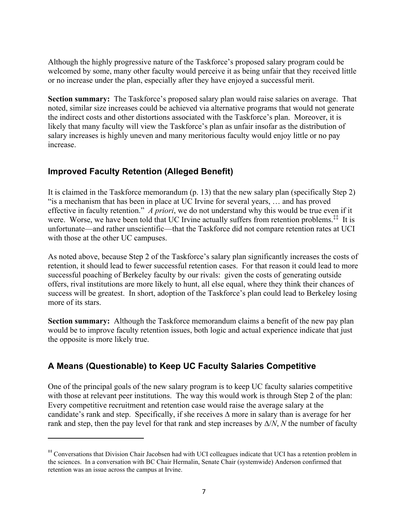Although the highly progressive nature of the Taskforce's proposed salary program could be welcomed by some, many other faculty would perceive it as being unfair that they received little or no increase under the plan, especially after they have enjoyed a successful merit.

**Section summary:** The Taskforce's proposed salary plan would raise salaries on average. That noted, similar size increases could be achieved via alternative programs that would not generate the indirect costs and other distortions associated with the Taskforce's plan. Moreover, it is likely that many faculty will view the Taskforce's plan as unfair insofar as the distribution of salary increases is highly uneven and many meritorious faculty would enjoy little or no pay increase.

### **Improved Faculty Retention (Alleged Benefit)**

"""""""""""""""""""""""""""""""""""""""""""""""""""""""""""

It is claimed in the Taskforce memorandum (p. 13) that the new salary plan (specifically Step 2) "is a mechanism that has been in place at UC Irvine for several years, … and has proved effective in faculty retention." *A priori*, we do not understand why this would be true even if it were. Worse, we have been told that UC Irvine actually suffers from retention problems.<sup>‡‡</sup> It is unfortunate—and rather unscientific—that the Taskforce did not compare retention rates at UCI with those at the other UC campuses.

As noted above, because Step 2 of the Taskforce's salary plan significantly increases the costs of retention, it should lead to fewer successful retention cases. For that reason it could lead to more successful poaching of Berkeley faculty by our rivals: given the costs of generating outside offers, rival institutions are more likely to hunt, all else equal, where they think their chances of success will be greatest. In short, adoption of the Taskforce's plan could lead to Berkeley losing more of its stars.

**Section summary:** Although the Taskforce memorandum claims a benefit of the new pay plan would be to improve faculty retention issues, both logic and actual experience indicate that just the opposite is more likely true.

## **A Means (Questionable) to Keep UC Faculty Salaries Competitive**

One of the principal goals of the new salary program is to keep UC faculty salaries competitive with those at relevant peer institutions. The way this would work is through Step 2 of the plan: Every competitive recruitment and retention case would raise the average salary at the candidate's rank and step. Specifically, if she receives  $\Delta$  more in salary than is average for her rank and step, then the pay level for that rank and step increases by  $\Delta/N$ , *N* the number of faculty

<sup>&</sup>lt;sup>##</sup> Conversations that Division Chair Jacobsen had with UCI colleagues indicate that UCI has a retention problem in the sciences. In a conversation with BC Chair Hermalin, Senate Chair (systemwide) Anderson confirmed that retention was an issue across the campus at Irvine.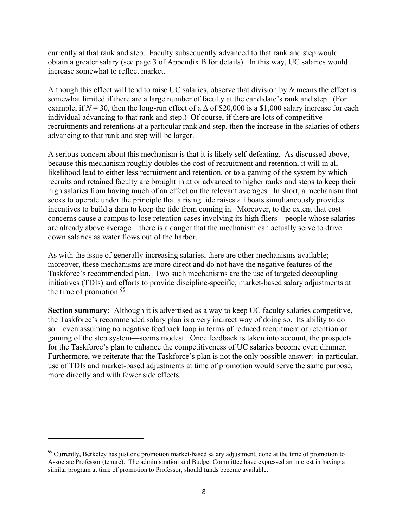currently at that rank and step. Faculty subsequently advanced to that rank and step would obtain a greater salary (see page 3 of Appendix B for details). In this way, UC salaries would increase somewhat to reflect market.

Although this effect will tend to raise UC salaries, observe that division by *N* means the effect is somewhat limited if there are a large number of faculty at the candidate's rank and step. (For example, if  $N = 30$ , then the long-run effect of a  $\Delta$  of \$20,000 is a \$1,000 salary increase for each individual advancing to that rank and step.) Of course, if there are lots of competitive recruitments and retentions at a particular rank and step, then the increase in the salaries of others advancing to that rank and step will be larger.

A serious concern about this mechanism is that it is likely self-defeating. As discussed above, because this mechanism roughly doubles the cost of recruitment and retention, it will in all likelihood lead to either less recruitment and retention, or to a gaming of the system by which recruits and retained faculty are brought in at or advanced to higher ranks and steps to keep their high salaries from having much of an effect on the relevant averages. In short, a mechanism that seeks to operate under the principle that a rising tide raises all boats simultaneously provides incentives to build a dam to keep the tide from coming in. Moreover, to the extent that cost concerns cause a campus to lose retention cases involving its high fliers—people whose salaries are already above average—there is a danger that the mechanism can actually serve to drive down salaries as water flows out of the harbor.

As with the issue of generally increasing salaries, there are other mechanisms available; moreover, these mechanisms are more direct and do not have the negative features of the Taskforce's recommended plan. Two such mechanisms are the use of targeted decoupling initiatives (TDIs) and efforts to provide discipline-specific, market-based salary adjustments at the time of promotion.§§

**Section summary:** Although it is advertised as a way to keep UC faculty salaries competitive, the Taskforce's recommended salary plan is a very indirect way of doing so. Its ability to do so—even assuming no negative feedback loop in terms of reduced recruitment or retention or gaming of the step system—seems modest. Once feedback is taken into account, the prospects for the Taskforce's plan to enhance the competitiveness of UC salaries become even dimmer. Furthermore, we reiterate that the Taskforce's plan is not the only possible answer: in particular, use of TDIs and market-based adjustments at time of promotion would serve the same purpose, more directly and with fewer side effects.

"""""""""""""""""""""""""""""""""""""""""""""""""""""""""""

<sup>&</sup>lt;sup>55</sup> Currently, Berkeley has just one promotion market-based salary adjustment, done at the time of promotion to Associate Professor (tenure). The administration and Budget Committee have expressed an interest in having a similar program at time of promotion to Professor, should funds become available.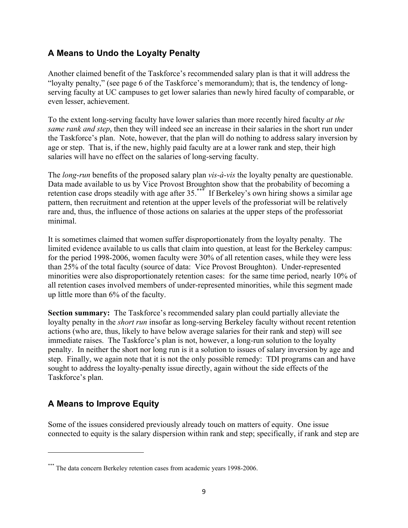## **A Means to Undo the Loyalty Penalty**

Another claimed benefit of the Taskforce's recommended salary plan is that it will address the "loyalty penalty," (see page 6 of the Taskforce's memorandum); that is, the tendency of longserving faculty at UC campuses to get lower salaries than newly hired faculty of comparable, or even lesser, achievement.

To the extent long-serving faculty have lower salaries than more recently hired faculty *at the same rank and step*, then they will indeed see an increase in their salaries in the short run under the Taskforce's plan. Note, however, that the plan will do nothing to address salary inversion by age or step. That is, if the new, highly paid faculty are at a lower rank and step, their high salaries will have no effect on the salaries of long-serving faculty.

The *long-run* benefits of the proposed salary plan *vis-à-vis* the loyalty penalty are questionable. Data made available to us by Vice Provost Broughton show that the probability of becoming a retention case drops steadily with age after 35.<sup>\*\*\*</sup> If Berkeley's own hiring shows a similar age pattern, then recruitment and retention at the upper levels of the professoriat will be relatively rare and, thus, the influence of those actions on salaries at the upper steps of the professoriat minimal.

It is sometimes claimed that women suffer disproportionately from the loyalty penalty. The limited evidence available to us calls that claim into question, at least for the Berkeley campus: for the period 1998-2006, women faculty were 30% of all retention cases, while they were less than 25% of the total faculty (source of data: Vice Provost Broughton). Under-represented minorities were also disproportionately retention cases: for the same time period, nearly 10% of all retention cases involved members of under-represented minorities, while this segment made up little more than 6% of the faculty.

**Section summary:** The Taskforce's recommended salary plan could partially alleviate the loyalty penalty in the *short run* insofar as long-serving Berkeley faculty without recent retention actions (who are, thus, likely to have below average salaries for their rank and step) will see immediate raises. The Taskforce's plan is not, however, a long-run solution to the loyalty penalty. In neither the short nor long run is it a solution to issues of salary inversion by age and step. Finally, we again note that it is not the only possible remedy: TDI programs can and have sought to address the loyalty-penalty issue directly, again without the side effects of the Taskforce's plan.

# **A Means to Improve Equity**

"""""""""""""""""""""""""""""""""""""""""""""""""""""""""""

Some of the issues considered previously already touch on matters of equity. One issue connected to equity is the salary dispersion within rank and step; specifically, if rank and step are

<sup>&</sup>lt;sup>\*\*\*</sup> The data concern Berkeley retention cases from academic years 1998-2006.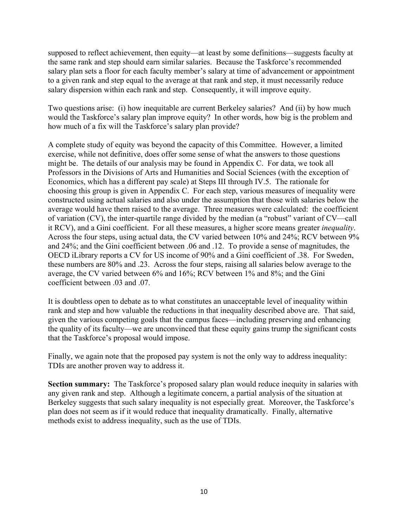supposed to reflect achievement, then equity—at least by some definitions—suggests faculty at the same rank and step should earn similar salaries. Because the Taskforce's recommended salary plan sets a floor for each faculty member's salary at time of advancement or appointment to a given rank and step equal to the average at that rank and step, it must necessarily reduce salary dispersion within each rank and step. Consequently, it will improve equity.

Two questions arise: (i) how inequitable are current Berkeley salaries? And (ii) by how much would the Taskforce's salary plan improve equity? In other words, how big is the problem and how much of a fix will the Taskforce's salary plan provide?

A complete study of equity was beyond the capacity of this Committee. However, a limited exercise, while not definitive, does offer some sense of what the answers to those questions might be. The details of our analysis may be found in Appendix C. For data, we took all Professors in the Divisions of Arts and Humanities and Social Sciences (with the exception of Economics, which has a different pay scale) at Steps III through IV.5. The rationale for choosing this group is given in Appendix C. For each step, various measures of inequality were constructed using actual salaries and also under the assumption that those with salaries below the average would have them raised to the average. Three measures were calculated: the coefficient of variation (CV), the inter-quartile range divided by the median (a "robust" variant of CV—call it RCV), and a Gini coefficient. For all these measures, a higher score means greater *inequality*. Across the four steps, using actual data, the CV varied between 10% and 24%; RCV between 9% and 24%; and the Gini coefficient between .06 and .12. To provide a sense of magnitudes, the OECD iLibrary reports a CV for US income of 90% and a Gini coefficient of .38. For Sweden, these numbers are 80% and .23. Across the four steps, raising all salaries below average to the average, the CV varied between 6% and 16%; RCV between 1% and 8%; and the Gini coefficient between .03 and .07.

It is doubtless open to debate as to what constitutes an unacceptable level of inequality within rank and step and how valuable the reductions in that inequality described above are. That said, given the various competing goals that the campus faces—including preserving and enhancing the quality of its faculty—we are unconvinced that these equity gains trump the significant costs that the Taskforce's proposal would impose.

Finally, we again note that the proposed pay system is not the only way to address inequality: TDIs are another proven way to address it.

**Section summary:** The Taskforce's proposed salary plan would reduce inequity in salaries with any given rank and step. Although a legitimate concern, a partial analysis of the situation at Berkeley suggests that such salary inequality is not especially great. Moreover, the Taskforce's plan does not seem as if it would reduce that inequality dramatically. Finally, alternative methods exist to address inequality, such as the use of TDIs.